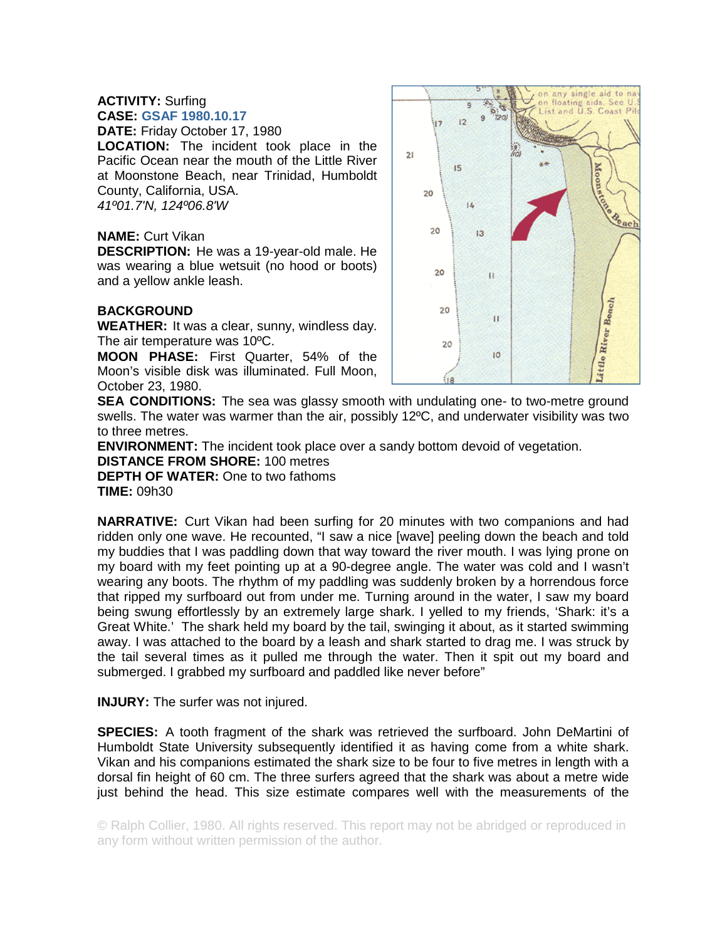## **ACTIVITY:** Surfing **CASE: GSAF 1980.10.17**

**DATE:** Friday October 17, 1980 **LOCATION:** The incident took place in the

Pacific Ocean near the mouth of the Little River at Moonstone Beach, near Trinidad, Humboldt County, California, USA. *41º01.7'N, 124º06.8'W* 

## **NAME:** Curt Vikan

**DESCRIPTION:** He was a 19-year-old male. He was wearing a blue wetsuit (no hood or boots) and a yellow ankle leash.

## **BACKGROUND**

**WEATHER:** It was a clear, sunny, windless day. The air temperature was 10ºC.

**MOON PHASE:** First Quarter, 54% of the Moon's visible disk was illuminated. Full Moon, October 23, 1980.



**SEA CONDITIONS:** The sea was glassy smooth with undulating one- to two-metre ground swells. The water was warmer than the air, possibly 12ºC, and underwater visibility was two to three metres.

**ENVIRONMENT:** The incident took place over a sandy bottom devoid of vegetation. **DISTANCE FROM SHORE:** 100 metres **DEPTH OF WATER:** One to two fathoms

**TIME:** 09h30

**NARRATIVE:** Curt Vikan had been surfing for 20 minutes with two companions and had ridden only one wave. He recounted, "I saw a nice [wave] peeling down the beach and told my buddies that I was paddling down that way toward the river mouth. I was lying prone on my board with my feet pointing up at a 90-degree angle. The water was cold and I wasn't wearing any boots. The rhythm of my paddling was suddenly broken by a horrendous force that ripped my surfboard out from under me. Turning around in the water, I saw my board being swung effortlessly by an extremely large shark. I yelled to my friends, 'Shark: it's a Great White.' The shark held my board by the tail, swinging it about, as it started swimming away. I was attached to the board by a leash and shark started to drag me. I was struck by the tail several times as it pulled me through the water. Then it spit out my board and submerged. I grabbed my surfboard and paddled like never before"

**INJURY:** The surfer was not injured.

**SPECIES:** A tooth fragment of the shark was retrieved the surfboard. John DeMartini of Humboldt State University subsequently identified it as having come from a white shark. Vikan and his companions estimated the shark size to be four to five metres in length with a dorsal fin height of 60 cm. The three surfers agreed that the shark was about a metre wide just behind the head. This size estimate compares well with the measurements of the

© Ralph Collier, 1980. All rights reserved. This report may not be abridged or reproduced in any form without written permission of the author.